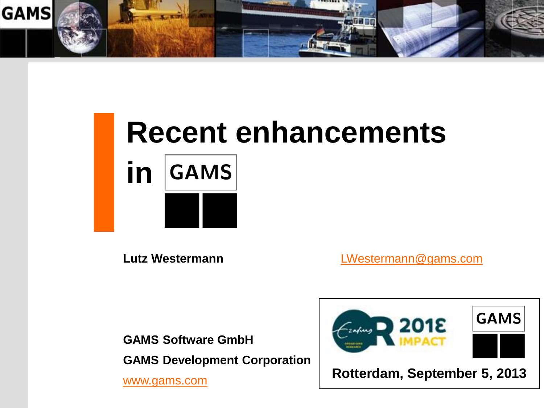

# **Recent enhancements GAMS in**

**Lutz Westermann** [LWestermann@gams.com](mailto:jhjagla@gams.com)

**GAMS Software GmbH GAMS Development Corporation** 

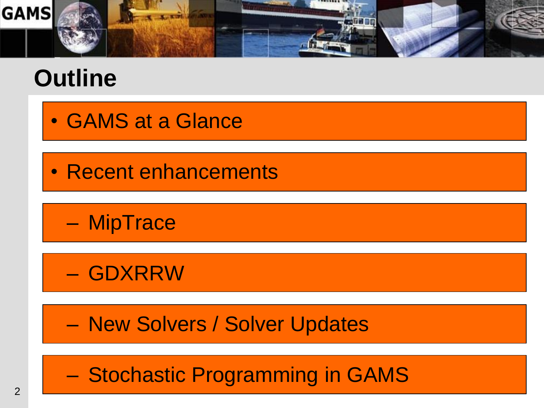

## **Outline**

- GAMS at a Glance
- Recent enhancements

– MipTrace

– GDXRRW

– New Solvers / Solver Updates

– Stochastic Programming in GAMS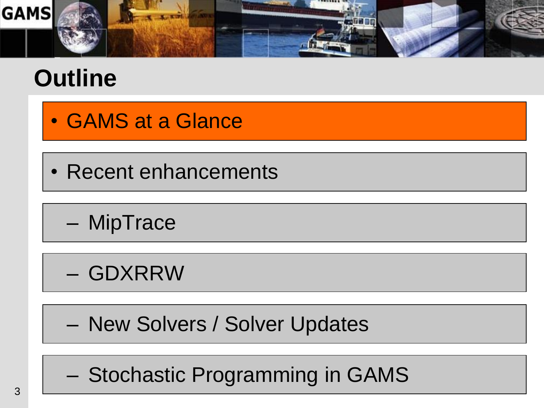

## **Outline**

- GAMS at a Glance
- Recent enhancements

– MipTrace

- GDXRRW
- New Solvers / Solver Updates
- Stochastic Programming in GAMS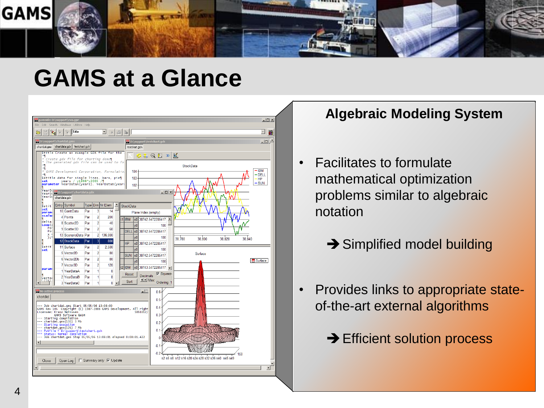

### **GAMS at a Glance**



#### **Algebraic Modeling System**

- Facilitates to formulate mathematical optimization problems similar to algebraic notation
	- **→ Simplified model building**
- Provides links to appropriate stateof-the-art external algorithms
	- **→ Efficient solution process**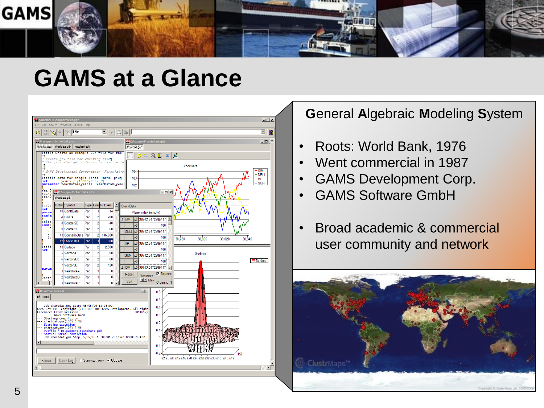

### **GAMS at a Glance**



#### **G**eneral **A**lgebraic **M**odeling **S**ystem

- Roots: World Bank, 1976
- Went commercial in 1987
- GAMS Development Corp.
- GAMS Software GmbH
- Broad academic & commercial user community and network

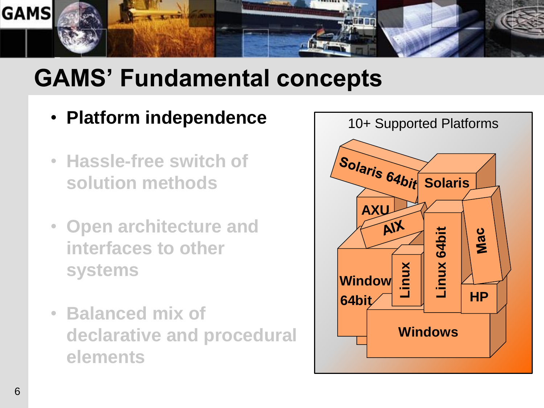

- **Platform independence**
- **Hassle-free switch of solution methods**
- **Open architecture and interfaces to other systems**
- **Balanced mix of declarative and procedural elements**

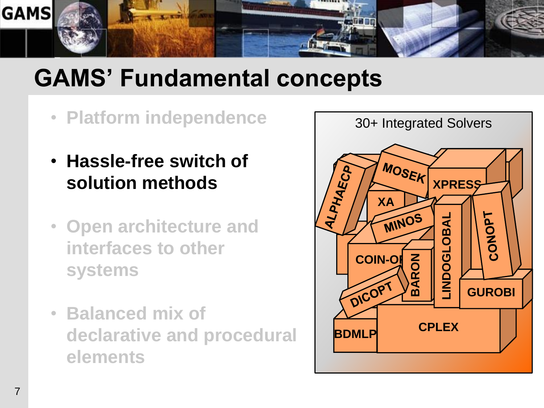

- **Platform independence**
- **Hassle-free switch of solution methods**
- **Open architecture and interfaces to other systems**
- **Balanced mix of declarative and procedural elements**

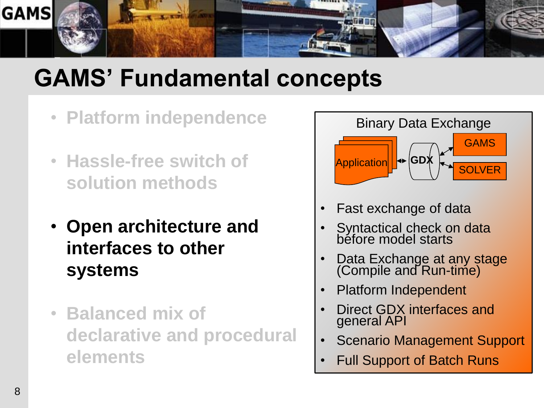

- **Platform independence**
- **Hassle-free switch of solution methods**
- **Open architecture and interfaces to other systems**
- **Balanced mix of declarative and procedural elements**



- Syntactical check on data béfore model starts
- Data Exchange at any stage (Compile and Run-time)
- Platform Independent
- Direct GDX interfaces and general API
- Scenario Management Support
- Full Support of Batch Runs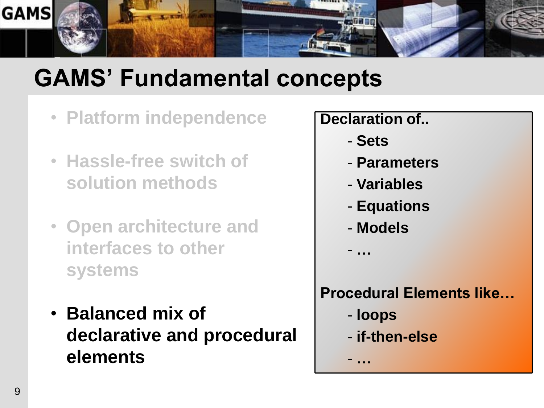

- **Platform independence**
- **Hassle-free switch of solution methods**
- **Open architecture and interfaces to other systems**
- **Balanced mix of declarative and procedural elements**

#### **Declaration of..**

- **Sets**
- **Parameters**
- **Variables**
- **Equations**
- **Models**

- **…**

### **Procedural Elements like…**

- **loops**

- **…**

- **if-then-else**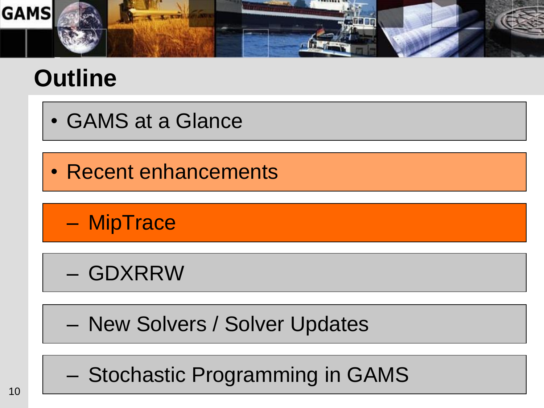

## **Outline**

- GAMS at a Glance
- Recent enhancements

– MipTrace

– GDXRRW

– New Solvers / Solver Updates

– Stochastic Programming in GAMS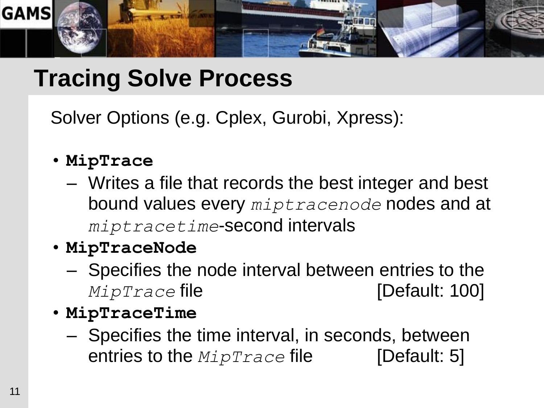

## **Tracing Solve Process**

Solver Options (e.g. Cplex, Gurobi, Xpress):

- **MipTrace**
	- Writes a file that records the best integer and best bound values every *miptracenode* nodes and at *miptracetime*-second intervals

### • **MipTraceNode**

- Specifies the node interval between entries to the *MipTrace* file **contains the contract of the set of [Default: 100]**
- **MipTraceTime**
	- Specifies the time interval, in seconds, between entries to the *MipTrace* file [Default: 5]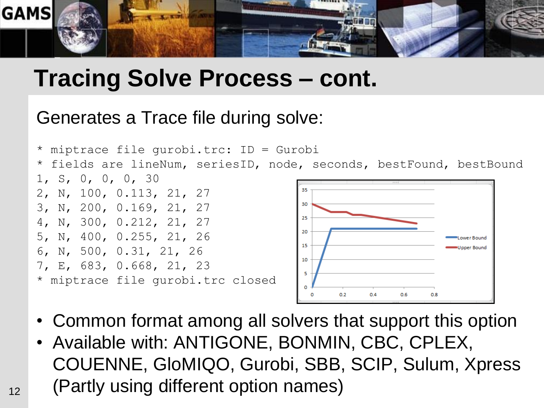

### **Tracing Solve Process – cont.**

### Generates a Trace file during solve:



- Common format among all solvers that support this option
- Available with: ANTIGONE, BONMIN, CBC, CPLEX, COUENNE, GloMIQO, Gurobi, SBB, SCIP, Sulum, Xpress (Partly using different option names)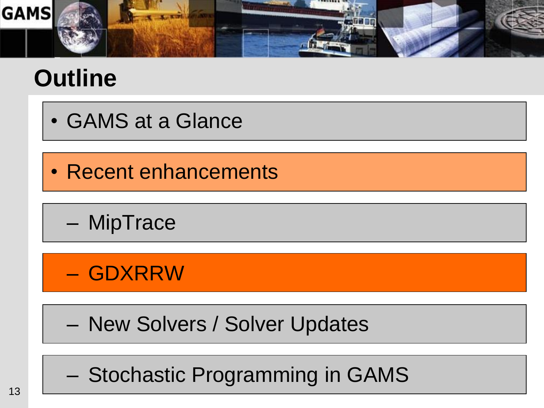

## **Outline**

- GAMS at a Glance
- Recent enhancements

– MipTrace

– GDXRRW

– New Solvers / Solver Updates

– Stochastic Programming in GAMS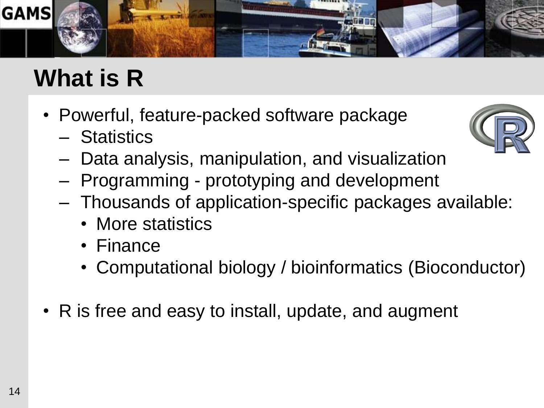

## **What is R**

- Powerful, feature-packed software package
	- Statistics



- Data analysis, manipulation, and visualization
- Programming prototyping and development
- Thousands of application-specific packages available:
	- More statistics
	- Finance
	- Computational biology / bioinformatics (Bioconductor)
- R is free and easy to install, update, and augment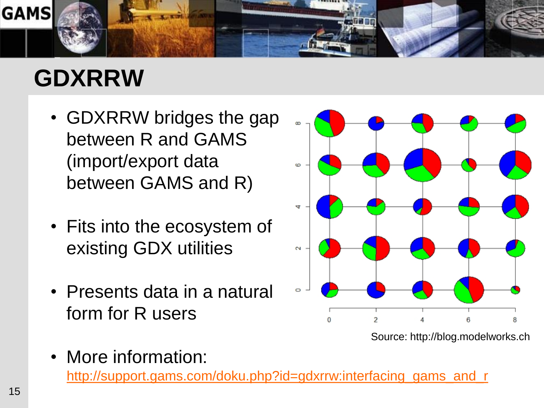

## **GDXRRW**

- GDXRRW bridges the gap between R and GAMS (import/export data between GAMS and R)
- Fits into the ecosystem of existing GDX utilities
- Presents data in a natural form for R users



Source: http://blog.modelworks.ch

• More information:

[http://support.gams.com/doku.php?id=gdxrrw:interfacing\\_gams\\_and\\_r](http://support.gams.com/doku.php?id=gdxrrw:interfacing_gams_and_r)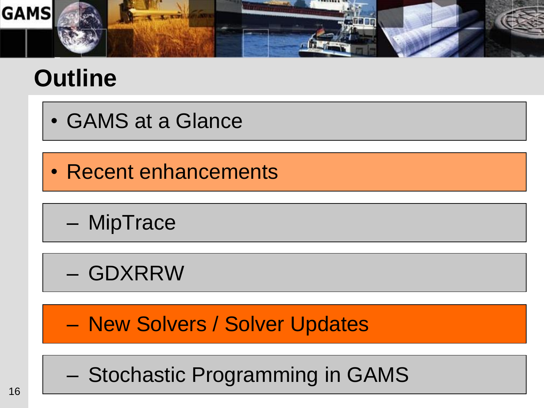

## **Outline**

- GAMS at a Glance
- Recent enhancements

– MipTrace

– GDXRRW

– New Solvers / Solver Updates

– Stochastic Programming in GAMS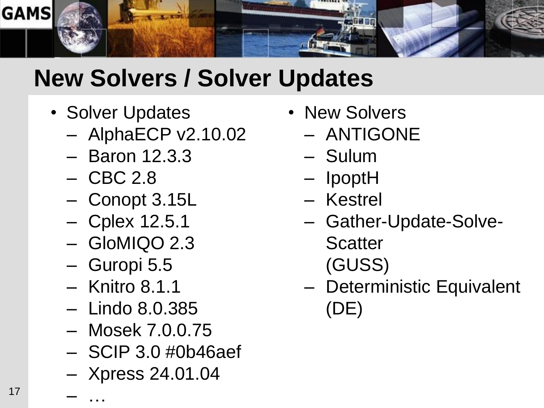

## **New Solvers / Solver Updates**

- Solver Updates
	- AlphaECP v2.10.02
	- Baron 12.3.3
	- CBC 2.8
	- Conopt 3.15L
	- Cplex 12.5.1
	- GloMIQO 2.3
	- Guropi 5.5
	- Knitro 8.1.1

– …

- Lindo 8.0.385
- Mosek 7.0.0.75
- SCIP 3.0 #0b46aef
- Xpress 24.01.04
- New Solvers
	- ANTIGONE
	- Sulum
	- IpoptH
	- Kestrel
	- Gather-Update-Solve-
		- **Scatter**
		- (GUSS)
	- Deterministic Equivalent (DE)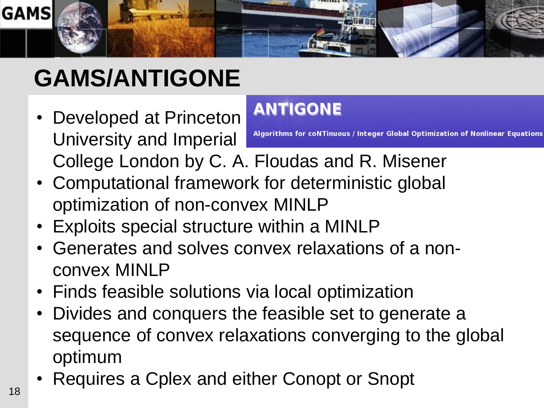

## **GAMS/ANTIGONE**

**ANTIGONE** • Developed at Princeton University and Imperial

## Algorithms for coNTinuous / Integer Global Optimization of Nonlinear Equations College London by C. A. Floudas and R. Misener

- Computational framework for deterministic global optimization of non-convex MINLP
- Exploits special structure within a MINLP
- Generates and solves convex relaxations of a nonconvex MINLP
- Finds feasible solutions via local optimization
- Divides and conquers the feasible set to generate a sequence of convex relaxations converging to the global optimum
- Requires a Cplex and either Conopt or Snopt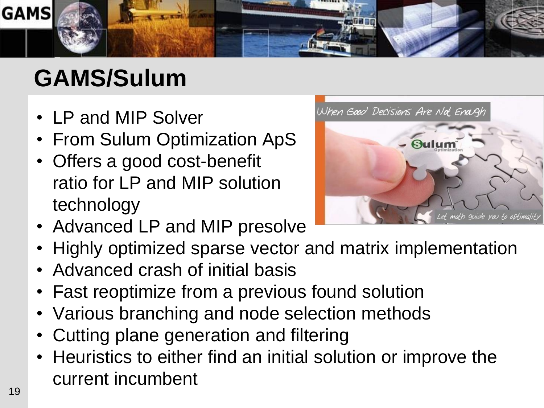

## **GAMS/Sulum**

- LP and MIP Solver
- From Sulum Optimization ApS
- Offers a good cost-benefit ratio for LP and MIP solution technology



- Advanced LP and MIP presolve
- Highly optimized sparse vector and matrix implementation
- Advanced crash of initial basis
- Fast reoptimize from a previous found solution
- Various branching and node selection methods
- Cutting plane generation and filtering
- Heuristics to either find an initial solution or improve the current incumbent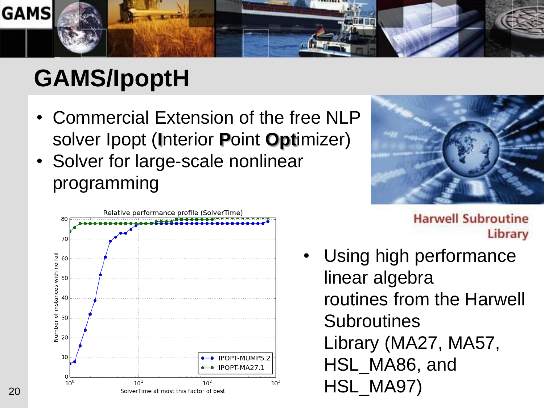

## **GAMS/IpoptH**

- Commercial Extension of the free NLP solver Ipopt (**I**nterior **P**oint **Opt**imizer)
- Solver for large-scale nonlinear programming





**Harwell Subroutine** Library

Using high performance linear algebra routines from the Harwell **Subroutines** Library (MA27, MA57, HSL\_MA86, and HSL\_MA97)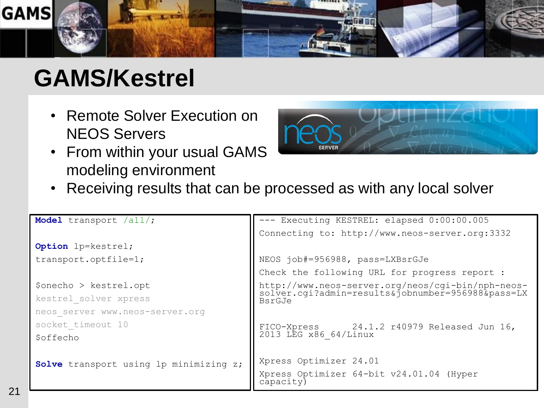

## **GAMS/Kestrel**

- Remote Solver Execution on NEOS Servers
- From within your usual GAMS modeling environment



• Receiving results that can be processed as with any local solver

```
Model transport /all/;
Option lp=kestrel;
transport.optfile=1;
$onecho > kestrel.opt
kestrel_solver xpress
neos_server www.neos-server.org
socket timeout 10
$offecho
Solve transport using lp minimizing z;
                                         --- Executing KESTREL: elapsed 0:00:00.005
                                         Connecting to: http://www.neos-server.org:3332
                                         NEOS job#=956988, pass=LXBsrGJe
                                         Check the following URL for progress report :
                                          http://www.neos-server.org/neos/cgi-bin/nph-neos-
                                          solver.cgi?admin=results&jobnumber=956988&pass=LX
                                         BsrGJe
                                         FICO-Xpress 24.1.2 r40979 Released Jun 16, 
                                         2013 LEG x86_64/Linux 
                                         Xpress Optimizer 24.01
                                         Xpress Optimizer 64-bit v24.01.04 (Hyper 
                                         capacity)
```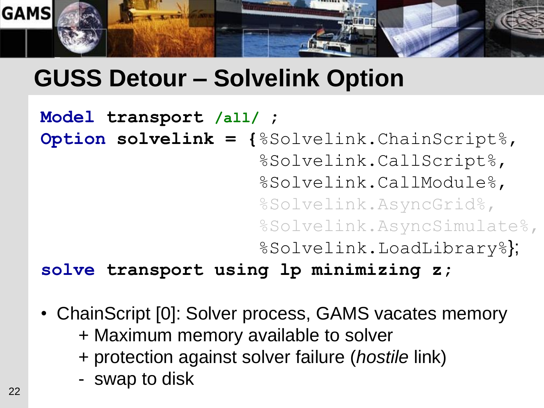

## **GUSS Detour – Solvelink Option**

```
Model transport /all/ ;
Option solvelink = {%Solvelink.ChainScript%,
                     %Solvelink.CallScript%,
                     %Solvelink.CallModule%,
                     %Solvelink.AsyncGrid%,
                     %Solvelink.AsyncSimulate%,
                     %Solvelink.LoadLibrary%};
```
**solve transport using lp minimizing z;** 

- ChainScript [0]: Solver process, GAMS vacates memory
	- + Maximum memory available to solver
	- + protection against solver failure (*hostile* link)
	- swap to disk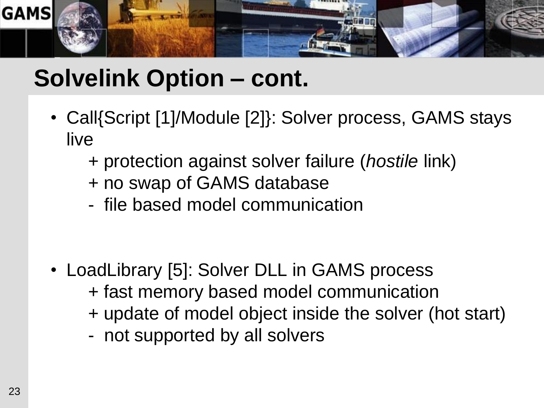

## **Solvelink Option – cont.**

- Call{Script [1]/Module [2]}: Solver process, GAMS stays live
	- + protection against solver failure (*hostile* link)
	- + no swap of GAMS database
	- file based model communication

- LoadLibrary [5]: Solver DLL in GAMS process + fast memory based model communication + update of model object inside the solver (hot start)
	- not supported by all solvers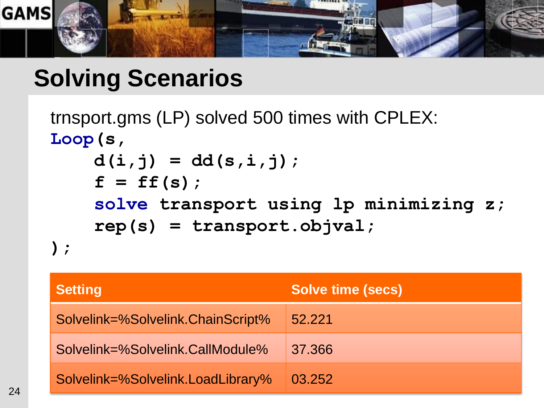

### **Solving Scenarios**

```
trnsport.gms (LP) solved 500 times with CPLEX:
Loop(s,
     d(i,j) = dd(s,i,j);
    f = ff(s);
     solve transport using lp minimizing z;
     rep(s) = transport.objval;
);
```

| <b>Setting</b>                    | <b>Solve time (secs)</b> |
|-----------------------------------|--------------------------|
| Solvelink=%Solvelink.ChainScript% | 52.221                   |
| Solvelink=%Solvelink.CallModule%  | 37.366                   |
| Solvelink=%Solvelink.LoadLibrary% | 03.252                   |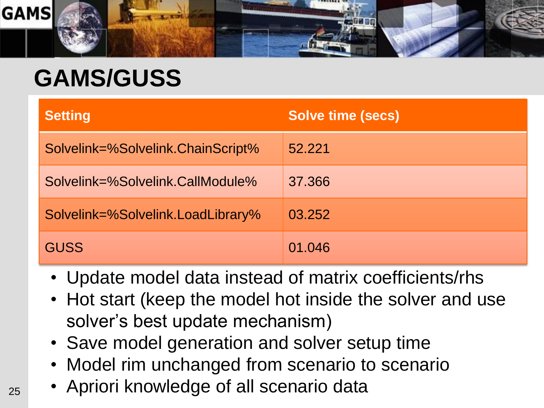

## **GAMS/GUSS**

| <b>Setting</b>                    | <b>Solve time (secs)</b> |
|-----------------------------------|--------------------------|
| Solvelink=%Solvelink.ChainScript% | 52.221                   |
| Solvelink=%Solvelink.CallModule%  | 37,366                   |
| Solvelink=%Solvelink.LoadLibrary% | 03.252                   |
| <b>GUSS</b>                       | 01.046                   |

- Update model data instead of matrix coefficients/rhs
- Hot start (keep the model hot inside the solver and use solver's best update mechanism)
- Save model generation and solver setup time
- Model rim unchanged from scenario to scenario
- Apriori knowledge of all scenario data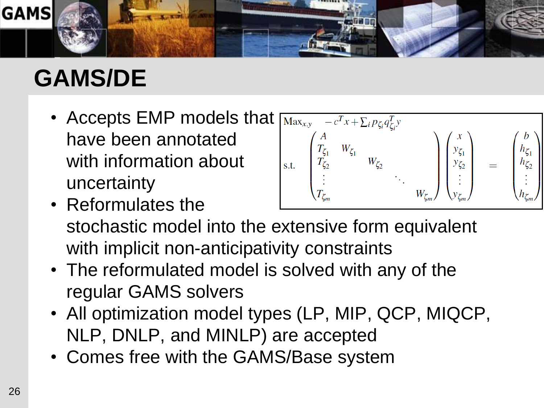

## **GAMS/DE**

• Accepts EMP models that  $\sqrt{\max_{x,y} -c^T x + \sum_i p_{\zeta_i} q_{\zeta_i}^T y}$ have been annotated with information about uncertainty

• Reformulates the



- stochastic model into the extensive form equivalent with implicit non-anticipativity constraints
- The reformulated model is solved with any of the regular GAMS solvers
- All optimization model types (LP, MIP, QCP, MIQCP, NLP, DNLP, and MINLP) are accepted
- Comes free with the GAMS/Base system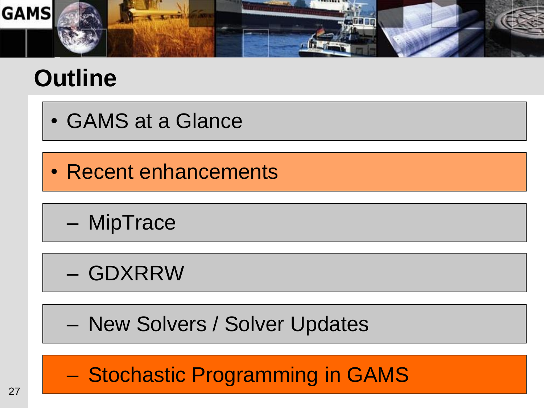

## **Outline**

- GAMS at a Glance
- Recent enhancements

– MipTrace

- GDXRRW
- New Solvers / Solver Updates

– Stochastic Programming in GAMS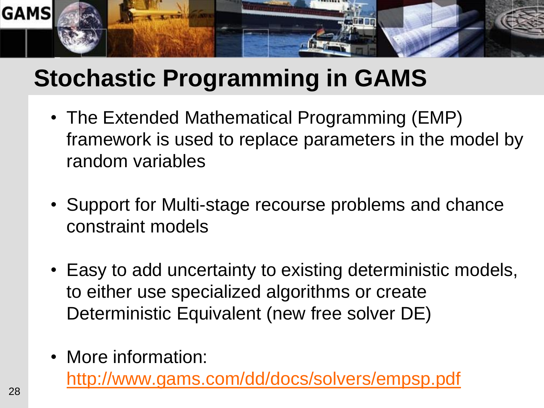

## **Stochastic Programming in GAMS**

- The Extended Mathematical Programming (EMP) framework is used to replace parameters in the model by random variables
- Support for Multi-stage recourse problems and chance constraint models
- Easy to add uncertainty to existing deterministic models, to either use specialized algorithms or create Deterministic Equivalent (new free solver DE)
- More information:

<http://www.gams.com/dd/docs/solvers/empsp.pdf>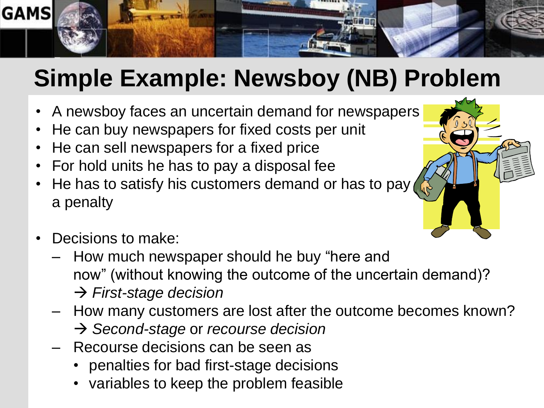

## **Simple Example: Newsboy (NB) Problem**

- A newsboy faces an uncertain demand for newspapers
- He can buy newspapers for fixed costs per unit
- He can sell newspapers for a fixed price
- For hold units he has to pay a disposal fee
- He has to satisfy his customers demand or has to pay a penalty
- Decisions to make:
	- How much newspaper should he buy "here and now" (without knowing the outcome of the uncertain demand)? *First-stage decision*
	- How many customers are lost after the outcome becomes known? → *Second-stage* or *recourse* decision
	- Recourse decisions can be seen as
		- penalties for bad first-stage decisions
		- variables to keep the problem feasible

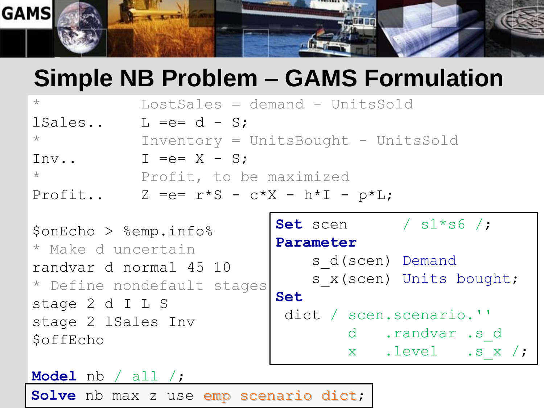

## **Simple NB Problem – GAMS Formulation**

| $\star$ | $LossSales = demand - UnitsSold$         |
|---------|------------------------------------------|
| lSales  | $L = e = d - S$                          |
| $\star$ | Inventory = UnitsBought - UnitsSold      |
| Inv     | $I =e = X - S$ ;                         |
| $\star$ | Profit, to be maximized                  |
| Profit  | $Z = e = r * S - c * X - h * I - p * L;$ |

```
$onEcho > %emp.info%
* Make d uncertain
randvar d normal 45 10
* Define nondefault stages
stage 2 d I L S
stage 2 lSales Inv
$offEcho
```

```
Set scen / s1*s6 /;
Parameter
   s d(scen) Demand
   s x(scen) Units bought;
Set
dict / scen.scenario.''
        d .randvar .s_d
        x .level .s_x /;
```
#### **Model** nb / all /;

Solve nb max z use emp scenario dict;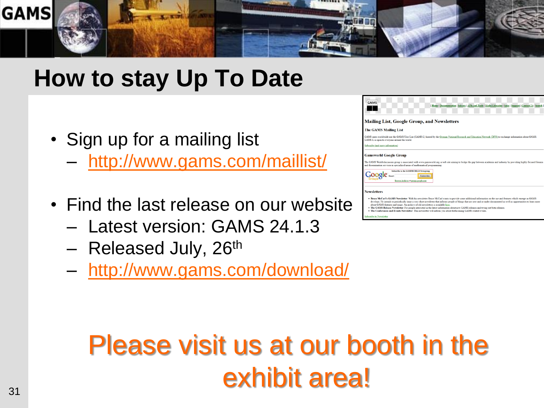

### **How to stay Up To Date**

- Sign up for a mailing list
	- <http://www.gams.com/maillist/>
- Find the last release on our website
	- Latest version: GAMS 24.1.3
	- Released July, 26<sup>th</sup>
	- <http://www.gams.com/download/>



The GAMS Release Newsletter: For people interested in the latest information about new GAMS releases and trying newsletter will inform you about forthcoming GAMS related

## Please visit us at our booth in the exhibit area!